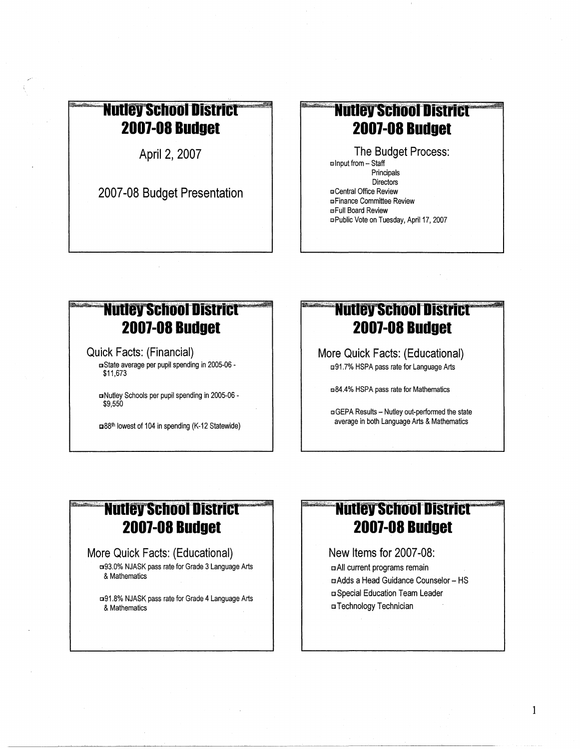## **Nutley School District 2007-08 Budget**

April 2, 2007

2007-08 Budget Presentation

# **Nutley School District 2007-08 Budget**

The Budget Process: □ Input from - Staff Principals Directors **¤Central Office Review EFinance Committee Review EFull Board Review** □ Public Vote on Tuesday, April 17, 2007

# **Nutley School District 2007-08 Budget**

**Quick Facts: (Financial)** 

a State average per pupil spending in 2005-06 -\$11,673

mNutley Schools per pupil spending in 2005-06 -\$9,550

m38th lowest of 104 in spending (K-12 Statewide)

# **Nutley School District 2007-08 Budget**

More Quick Facts: (Educational) □91.7% HSPA pass rate for Language Arts

■84.4% HSPA pass rate for Mathematics

**EGEPA Results - Nutley out-performed the state** average in both Language Arts & Mathematics

#### **Nutley School District 2007-08 Budget**

#### More Quick Facts: (Educational)

**¤93.0% NJASK pass rate for Grade 3 Language Arts** & Mathematics

□91.8% NJASK pass rate for Grade 4 Language Arts & Mathematics

# **Nutley School District 2007-08 Budget**

New Items for 2007-08: a All current programs remain a Adds a Head Guidance Counselor - HS **¤ Special Education Team Leader ¤Technology Technician**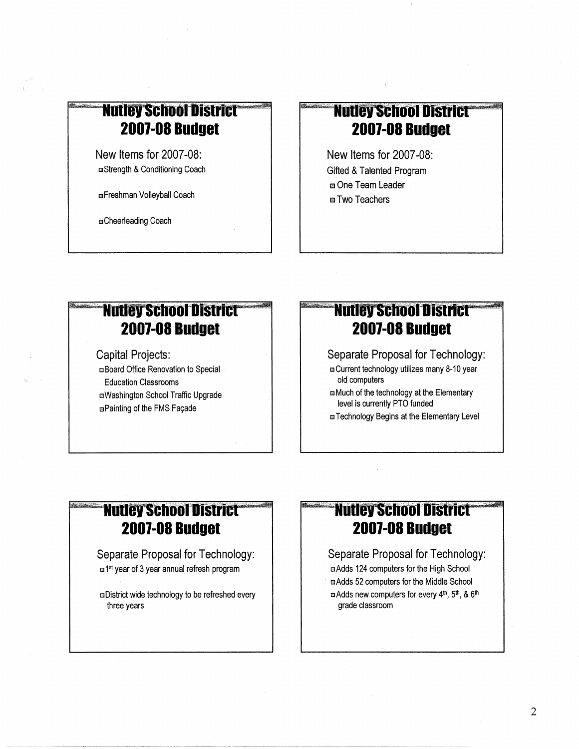# **Nutley School District 2001-08 Budget**

New Items for 2007-08: mStrength &Conditioning Coach

mFreshman Volleyball Coach

mCheerleading Coach

# **Nutley School District 2007-08 Budget**

New Items for 2007-08: Gifted & Talented Program m One Team Leader ■ Two Teachers

# **Nutley School District 2001-08 Budget**

Capital Projects: cBoard Office Renovation to Special Education Classrooms sWashington School Traffic Upgrade mPainting of the FMS Façade

'-,

#### **Nutley School District 2001-08 Budget**

Separate Proposal for Technology: m Current technology utilizes many 8-10 year old computers

m Much of the technology at the Elementary level is currently PTO funded

**El Technology Begins at the Elementary Level** 

#### **Nutley School District® 2001-08 Budget**

Separate Proposal for Technology: □<sup>1st</sup> year of 3 year annual refresh program

a District wide technology to be refreshed every three years

# **Nutley School District 2001-08 Budget**

Separate Proposal for Technology: c Adds 124 computers for the High School mAdds 52 computers for the Middle School m Adds new computers for every 4<sup>th</sup>, 5<sup>th</sup>, & 6<sup>th</sup> grade classroom